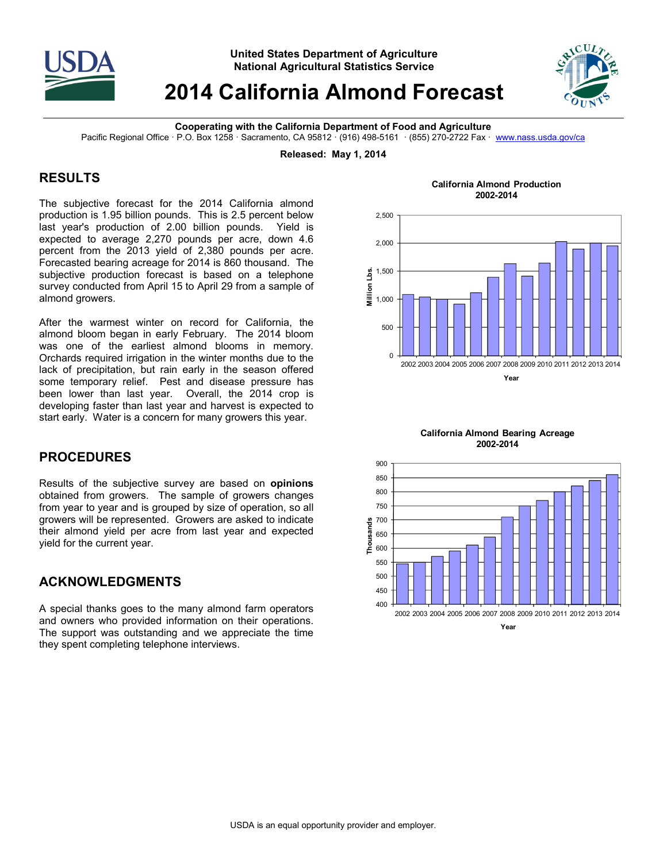

**United States Department of Agriculture National Agricultural Statistics Service** 

## **2014 California Almond Forecast**



**Cooperating with the California Department of Food and Agriculture** 

Pacific Regional Office · P.O. Box 1258 · Sacramento, CA 95812 · (916) 498-5161 · (855) 270-2722 Fax · www.nass.usda.gov/ca

**Released: May 1, 2014** 

## **RESULTS**

The subjective forecast for the 2014 California almond production is 1.95 billion pounds. This is 2.5 percent below last year's production of 2.00 billion pounds. Yield is expected to average 2,270 pounds per acre, down 4.6 percent from the 2013 yield of 2,380 pounds per acre. Forecasted bearing acreage for 2014 is 860 thousand. The subjective production forecast is based on a telephone survey conducted from April 15 to April 29 from a sample of almond growers.

After the warmest winter on record for California, the almond bloom began in early February. The 2014 bloom was one of the earliest almond blooms in memory. Orchards required irrigation in the winter months due to the lack of precipitation, but rain early in the season offered some temporary relief. Pest and disease pressure has been lower than last year. Overall, the 2014 crop is developing faster than last year and harvest is expected to start early. Water is a concern for many growers this year.

## **PROCEDURES**

Results of the subjective survey are based on **opinions** obtained from growers. The sample of growers changes from year to year and is grouped by size of operation, so all growers will be represented. Growers are asked to indicate their almond yield per acre from last year and expected yield for the current year.

## **ACKNOWLEDGMENTS**

A special thanks goes to the many almond farm operators and owners who provided information on their operations. The support was outstanding and we appreciate the time they spent completing telephone interviews.

**California Almond Production 2002-2014**